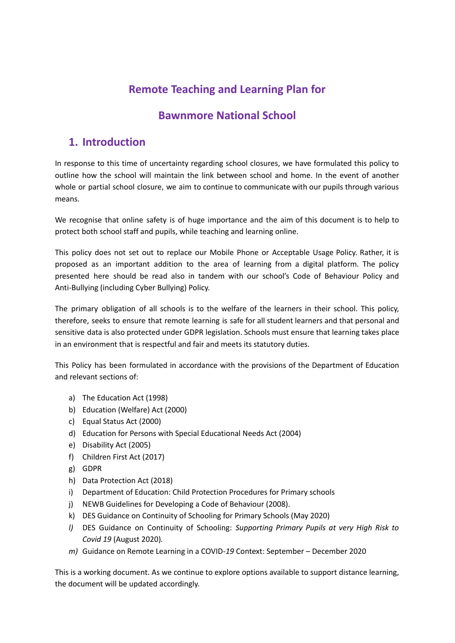# **Remote Teaching and Learning Plan for**

## **Bawnmore National School**

## **1. Introduction**

In response to this time of uncertainty regarding school closures, we have formulated this policy to outline how the school will maintain the link between school and home. In the event of another whole or partial school closure, we aim to continue to communicate with our pupils through various means.

We recognise that online safety is of huge importance and the aim of this document is to help to protect both school staff and pupils, while teaching and learning online.

This policy does not set out to replace our Mobile Phone or Acceptable Usage Policy. Rather, it is proposed as an important addition to the area of learning from a digital platform. The policy presented here should be read also in tandem with our school's Code of Behaviour Policy and Anti-Bullying (including Cyber Bullying) Policy.

The primary obligation of all schools is to the welfare of the learners in their school. This policy, therefore, seeks to ensure that remote learning is safe for all student learners and that personal and sensitive data is also protected under GDPR legislation. Schools must ensure that learning takes place in an environment that is respectful and fair and meets its statutory duties.

This Policy has been formulated in accordance with the provisions of the Department of Education and relevant sections of:

- a) The Education Act (1998)
- b) Education (Welfare) Act (2000)
- c) Equal Status Act (2000)
- d) Education for Persons with Special Educational Needs Act (2004)
- e) Disability Act (2005)
- f) Children First Act (2017)
- g) GDPR
- h) Data Protection Act (2018)
- i) Department of Education: Child Protection Procedures for Primary schools
- j) NEWB Guidelines for Developing a Code of Behaviour (2008).
- k) DES Guidance on Continuity of Schooling for Primary Schools (May 2020)
- *l)* DES Guidance on Continuity of Schooling: *Supporting Primary Pupils at very High Risk to Covid 19* (August 2020)*.*
- *m)* Guidance on Remote Learning in a COVID-*19* Context: September December 2020

This is a working document. As we continue to explore options available to support distance learning, the document will be updated accordingly.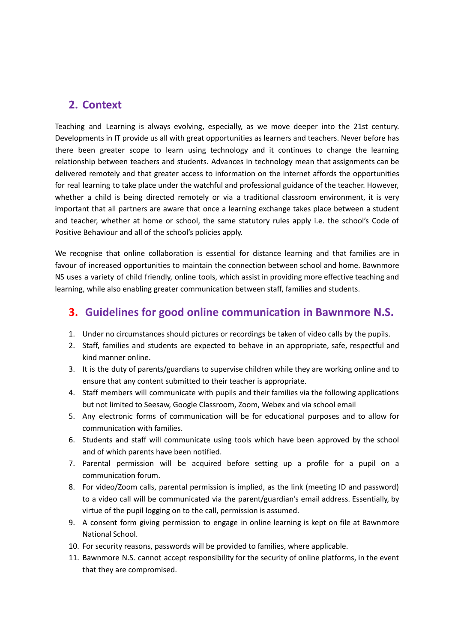### **2. Context**

Teaching and Learning is always evolving, especially, as we move deeper into the 21st century. Developments in IT provide us all with great opportunities as learners and teachers. Never before has there been greater scope to learn using technology and it continues to change the learning relationship between teachers and students. Advances in technology mean that assignments can be delivered remotely and that greater access to information on the internet affords the opportunities for real learning to take place under the watchful and professional guidance of the teacher. However, whether a child is being directed remotely or via a traditional classroom environment, it is very important that all partners are aware that once a learning exchange takes place between a student and teacher, whether at home or school, the same statutory rules apply i.e. the school's Code of Positive Behaviour and all of the school's policies apply.

We recognise that online collaboration is essential for distance learning and that families are in favour of increased opportunities to maintain the connection between school and home. Bawnmore NS uses a variety of child friendly, online tools, which assist in providing more effective teaching and learning, while also enabling greater communication between staff, families and students.

### **3. Guidelines for good online communication in Bawnmore N.S.**

- 1. Under no circumstances should pictures or recordings be taken of video calls by the pupils.
- 2. Staff, families and students are expected to behave in an appropriate, safe, respectful and kind manner online.
- 3. It is the duty of parents/guardians to supervise children while they are working online and to ensure that any content submitted to their teacher is appropriate.
- 4. Staff members will communicate with pupils and their families via the following applications but not limited to Seesaw, Google Classroom, Zoom, Webex and via school email
- 5. Any electronic forms of communication will be for educational purposes and to allow for communication with families.
- 6. Students and staff will communicate using tools which have been approved by the school and of which parents have been notified.
- 7. Parental permission will be acquired before setting up a profile for a pupil on a communication forum.
- 8. For video/Zoom calls, parental permission is implied, as the link (meeting ID and password) to a video call will be communicated via the parent/guardian's email address. Essentially, by virtue of the pupil logging on to the call, permission is assumed.
- 9. A consent form giving permission to engage in online learning is kept on file at Bawnmore National School.
- 10. For security reasons, passwords will be provided to families, where applicable.
- 11. Bawnmore N.S. cannot accept responsibility for the security of online platforms, in the event that they are compromised.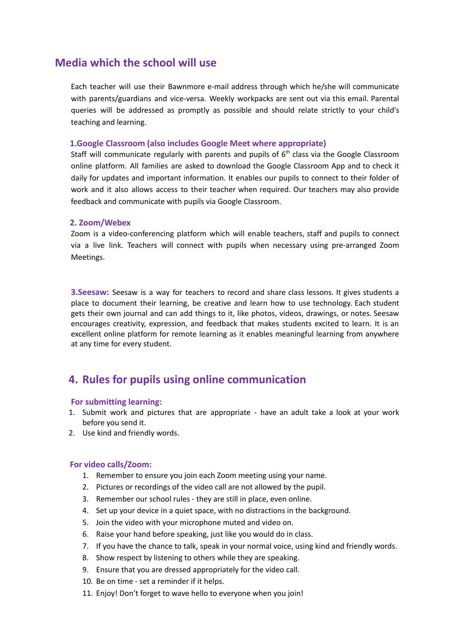## **Media which the school will use**

Each teacher will use their Bawnmore e-mail address through which he/she will communicate with parents/guardians and vice-versa. Weekly workpacks are sent out via this email. Parental queries will be addressed as promptly as possible and should relate strictly to your child's teaching and learning.

#### **1.Google Classroom (also includes Google Meet where appropriate)**

Staff will communicate regularly with parents and pupils of  $6<sup>th</sup>$  class via the Google Classroom online platform. All families are asked to download the Google Classroom App and to check it daily for updates and important information. It enables our pupils to connect to their folder of work and it also allows access to their teacher when required. Our teachers may also provide feedback and communicate with pupils via Google Classroom.

#### **2. Zoom/Webex**

Zoom is a video-conferencing platform which will enable teachers, staff and pupils to connect via a live link. Teachers will connect with pupils when necessary using pre-arranged Zoom Meetings.

**3.Seesaw:** Seesaw is a way for teachers to record and share class lessons. It gives students a place to document their learning, be creative and learn how to use technology. Each student gets their own journal and can add things to it, like photos, videos, drawings, or notes. Seesaw encourages creativity, expression, and feedback that makes students excited to learn. It is an excellent online platform for remote learning as it enables meaningful learning from anywhere at any time for every student.

### **4. Rules for pupils using online communication**

#### **For submitting learning:**

- 1. Submit work and pictures that are appropriate have an adult take a look at your work before you send it.
- 2. Use kind and friendly words.

#### **For video calls/Zoom:**

- 1. Remember to ensure you join each Zoom meeting using your name.
- 2. Pictures or recordings of the video call are not allowed by the pupil.
- 3. Remember our school rules they are still in place, even online.
- 4. Set up your device in a quiet space, with no distractions in the background.
- 5. Join the video with your microphone muted and video on.
- 6. Raise your hand before speaking, just like you would do in class.
- 7. If you have the chance to talk, speak in your normal voice, using kind and friendly words.
- 8. Show respect by listening to others while they are speaking.
- 9. Ensure that you are dressed appropriately for the video call.
- 10. Be on time set a reminder if it helps.
- 11. Enjoy! Don't forget to wave hello to everyone when you join!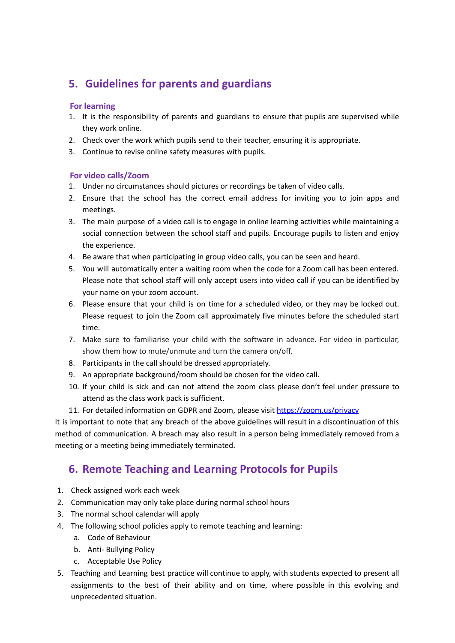# **5. Guidelines for parents and guardians**

### **For learning**

- 1. It is the responsibility of parents and guardians to ensure that pupils are supervised while they work online.
- 2. Check over the work which pupils send to their teacher, ensuring it is appropriate.
- 3. Continue to revise online safety measures with pupils.

### **For video calls/Zoom**

- 1. Under no circumstances should pictures or recordings be taken of video calls.
- 2. Ensure that the school has the correct email address for inviting you to join apps and meetings.
- 3. The main purpose of a video call is to engage in online learning activities while maintaining a social connection between the school staff and pupils. Encourage pupils to listen and enjoy the experience.
- 4. Be aware that when participating in group video calls, you can be seen and heard.
- 5. You will automatically enter a waiting room when the code for a Zoom call has been entered. Please note that school staff will only accept users into video call if you can be identified by your name on your zoom account.
- 6. Please ensure that your child is on time for a scheduled video, or they may be locked out. Please request to join the Zoom call approximately five minutes before the scheduled start time.
- 7. Make sure to familiarise your child with the software in advance. For video in particular, show them how to mute/unmute and turn the camera on/off.
- 8. Participants in the call should be dressed appropriately.
- 9. An appropriate background/room should be chosen for the video call.
- 10. If your child is sick and can not attend the zoom class please don't feel under pressure to attend as the class work pack is sufficient.
- 11. For detailed information on GDPR and Zoom, please visit <https://zoom.us/privacy>

It is important to note that any breach of the above guidelines will result in a discontinuation of this method of communication. A breach may also result in a person being immediately removed from a meeting or a meeting being immediately terminated.

# **6. Remote Teaching and Learning Protocols for Pupils**

- 1. Check assigned work each week
- 2. Communication may only take place during normal school hours
- 3. The normal school calendar will apply
- 4. The following school policies apply to remote teaching and learning:
	- a. Code of Behaviour
	- b. Anti- Bullying Policy
	- c. Acceptable Use Policy
- 5. Teaching and Learning best practice will continue to apply, with students expected to present all assignments to the best of their ability and on time, where possible in this evolving and unprecedented situation.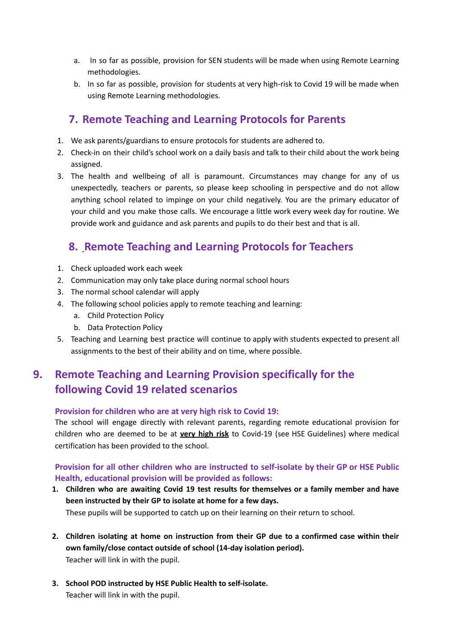- a. In so far as possible, provision for SEN students will be made when using Remote Learning methodologies.
- b. In so far as possible, provision for students at very high-risk to Covid 19 will be made when using Remote Learning methodologies.

## **7. Remote Teaching and Learning Protocols for Parents**

- 1. We ask parents/guardians to ensure protocols for students are adhered to.
- 2. Check-in on their child's school work on a daily basis and talk to their child about the work being assigned.
- 3. The health and wellbeing of all is paramount. Circumstances may change for any of us unexpectedly, teachers or parents, so please keep schooling in perspective and do not allow anything school related to impinge on your child negatively. You are the primary educator of your child and you make those calls. We encourage a little work every week day for routine. We provide work and guidance and ask parents and pupils to do their best and that is all.

## **8. Remote Teaching and Learning Protocols for Teachers**

- 1. Check uploaded work each week
- 2. Communication may only take place during normal school hours
- 3. The normal school calendar will apply
- 4. The following school policies apply to remote teaching and learning:
	- a. Child Protection Policy
	- b. Data Protection Policy
- 5. Teaching and Learning best practice will continue to apply with students expected to present all assignments to the best of their ability and on time, where possible.

# **9. Remote Teaching and Learning Provision specifically for the following Covid 19 related scenarios**

#### **Provision for children who are at very high risk to Covid 19:**

The school will engage directly with relevant parents, regarding remote educational provision for children who are deemed to be at **very high risk** to Covid-19 (see HSE Guidelines) where medical certification has been provided to the school.

### **Provision for all other children who are instructed to self-isolate by their GP or HSE Public Health, educational provision will be provided as follows:**

- **1. Children who are awaiting Covid 19 test results for themselves or a family member and have been instructed by their GP to isolate at home for a few days.** These pupils will be supported to catch up on their learning on their return to school.
- **2. Children isolating at home on instruction from their GP due to a confirmed case within their own family/close contact outside of school (14-day isolation period).** Teacher will link in with the pupil.
- **3. School POD instructed by HSE Public Health to self-isolate.** Teacher will link in with the pupil.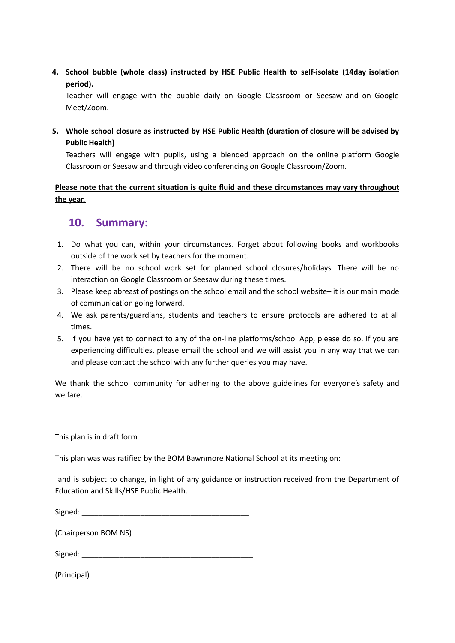**4. School bubble (whole class) instructed by HSE Public Health to self-isolate (14day isolation period).**

Teacher will engage with the bubble daily on Google Classroom or Seesaw and on Google Meet/Zoom.

**5. Whole school closure as instructed by HSE Public Health (duration of closure will be advised by Public Health)**

Teachers will engage with pupils, using a blended approach on the online platform Google Classroom or Seesaw and through video conferencing on Google Classroom/Zoom.

### **Please note that the current situation is quite fluid and these circumstances may vary throughout the year.**

## **10. Summary:**

- 1. Do what you can, within your circumstances. Forget about following books and workbooks outside of the work set by teachers for the moment.
- 2. There will be no school work set for planned school closures/holidays. There will be no interaction on Google Classroom or Seesaw during these times.
- 3. Please keep abreast of postings on the school email and the school website– it is our main mode of communication going forward.
- 4. We ask parents/guardians, students and teachers to ensure protocols are adhered to at all times.
- 5. If you have yet to connect to any of the on-line platforms/school App, please do so. If you are experiencing difficulties, please email the school and we will assist you in any way that we can and please contact the school with any further queries you may have.

We thank the school community for adhering to the above guidelines for everyone's safety and welfare.

This plan is in draft form

This plan was was ratified by the BOM Bawnmore National School at its meeting on:

and is subject to change, in light of any guidance or instruction received from the Department of Education and Skills/HSE Public Health.

 $Signed:$ 

(Chairperson BOM NS)

Signed:  $\Box$ 

(Principal)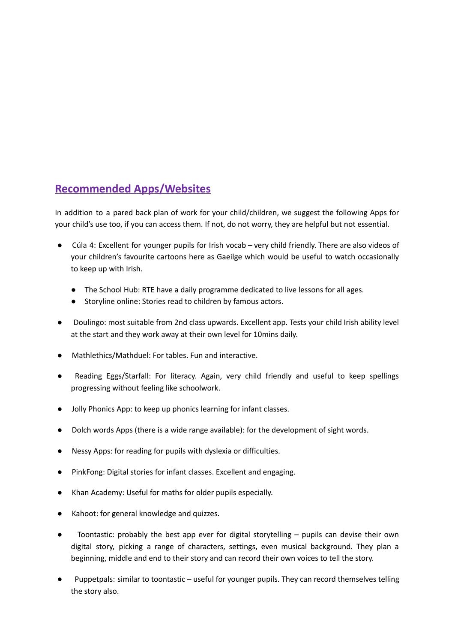## **Recommended Apps/Websites**

In addition to a pared back plan of work for your child/children, we suggest the following Apps for your child's use too, if you can access them. If not, do not worry, they are helpful but not essential.

- Cúla 4: Excellent for younger pupils for Irish vocab very child friendly. There are also videos of your children's favourite cartoons here as Gaeilge which would be useful to watch occasionally to keep up with Irish.
	- The School Hub: RTE have a daily programme dedicated to live lessons for all ages.
	- Storyline online: Stories read to children by famous actors.
- Doulingo: most suitable from 2nd class upwards. Excellent app. Tests your child Irish ability level at the start and they work away at their own level for 10mins daily.
- Mathlethics/Mathduel: For tables. Fun and interactive.
- Reading Eggs/Starfall: For literacy. Again, very child friendly and useful to keep spellings progressing without feeling like schoolwork.
- Jolly Phonics App: to keep up phonics learning for infant classes.
- Dolch words Apps (there is a wide range available): for the development of sight words.
- Nessy Apps: for reading for pupils with dyslexia or difficulties.
- PinkFong: Digital stories for infant classes. Excellent and engaging.
- Khan Academy: Useful for maths for older pupils especially.
- Kahoot: for general knowledge and quizzes.
- Toontastic: probably the best app ever for digital storytelling pupils can devise their own digital story, picking a range of characters, settings, even musical background. They plan a beginning, middle and end to their story and can record their own voices to tell the story.
- Puppetpals: similar to toontastic useful for younger pupils. They can record themselves telling the story also.